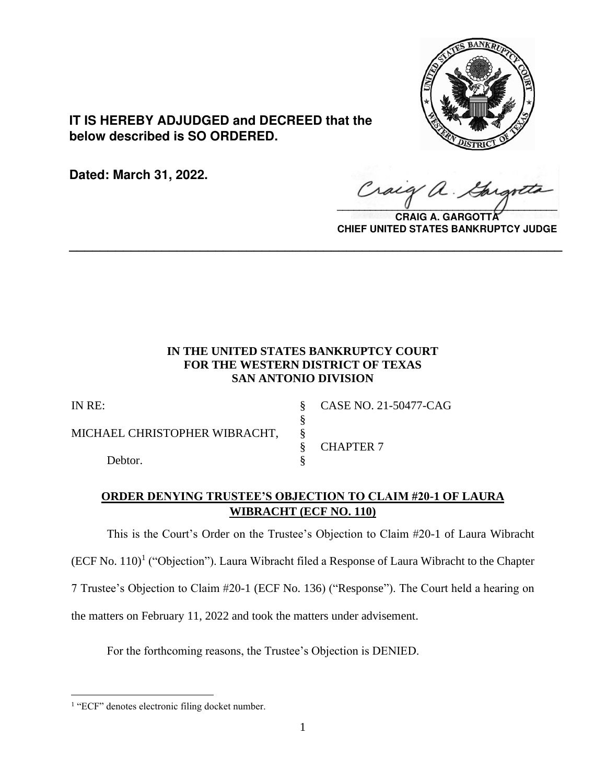

**IT IS HEREBY ADJUDGED and DECREED that the below described is SO ORDERED.**

**Dated: March 31, 2022.**

 $\sqrt{2}$ 

**CRAIG A. GARGOTTA CHIEF UNITED STATES BANKRUPTCY JUDGE**

# **IN THE UNITED STATES BANKRUPTCY COURT FOR THE WESTERN DISTRICT OF TEXAS SAN ANTONIO DIVISION**

**\_\_\_\_\_\_\_\_\_\_\_\_\_\_\_\_\_\_\_\_\_\_\_\_\_\_\_\_\_\_\_\_\_\_\_\_\_\_\_\_\_\_\_\_\_\_\_\_\_\_\_\_\_\_\_\_\_\_\_\_\_\_\_\_**

§

MICHAEL CHRISTOPHER WIBRACHT, §

Debtor.

IN RE: § CASE NO. 21-50477-CAG

§ CHAPTER 7

# **ORDER DENYING TRUSTEE'S OBJECTION TO CLAIM #20-1 OF LAURA WIBRACHT (ECF NO. 110)**

This is the Court's Order on the Trustee's Objection to Claim #20-1 of Laura Wibracht

 $(ECF No. 110)<sup>1</sup>$  ("Objection"). Laura Wibracht filed a Response of Laura Wibracht to the Chapter

7 Trustee's Objection to Claim #20-1 (ECF No. 136) ("Response"). The Court held a hearing on

the matters on February 11, 2022 and took the matters under advisement.

For the forthcoming reasons, the Trustee's Objection is DENIED.

<sup>&</sup>lt;sup>1</sup> "ECF" denotes electronic filing docket number.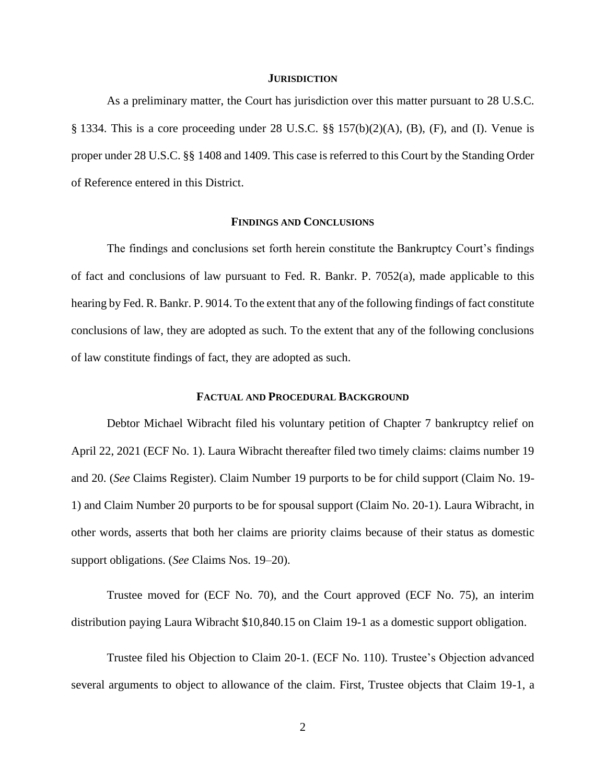#### **JURISDICTION**

As a preliminary matter, the Court has jurisdiction over this matter pursuant to 28 U.S.C. § 1334. This is a core proceeding under 28 U.S.C. §§ 157(b)(2)(A), (B), (F), and (I). Venue is proper under 28 U.S.C. §§ 1408 and 1409. This case is referred to this Court by the Standing Order of Reference entered in this District.

### **FINDINGS AND CONCLUSIONS**

The findings and conclusions set forth herein constitute the Bankruptcy Court's findings of fact and conclusions of law pursuant to Fed. R. Bankr. P. 7052(a), made applicable to this hearing by Fed. R. Bankr. P. 9014. To the extent that any of the following findings of fact constitute conclusions of law, they are adopted as such. To the extent that any of the following conclusions of law constitute findings of fact, they are adopted as such.

### **FACTUAL AND PROCEDURAL BACKGROUND**

Debtor Michael Wibracht filed his voluntary petition of Chapter 7 bankruptcy relief on April 22, 2021 (ECF No. 1). Laura Wibracht thereafter filed two timely claims: claims number 19 and 20. (*See* Claims Register). Claim Number 19 purports to be for child support (Claim No. 19- 1) and Claim Number 20 purports to be for spousal support (Claim No. 20-1). Laura Wibracht, in other words, asserts that both her claims are priority claims because of their status as domestic support obligations. (*See* Claims Nos. 19–20).

Trustee moved for (ECF No. 70), and the Court approved (ECF No. 75), an interim distribution paying Laura Wibracht \$10,840.15 on Claim 19-1 as a domestic support obligation.

Trustee filed his Objection to Claim 20-1. (ECF No. 110). Trustee's Objection advanced several arguments to object to allowance of the claim. First, Trustee objects that Claim 19-1, a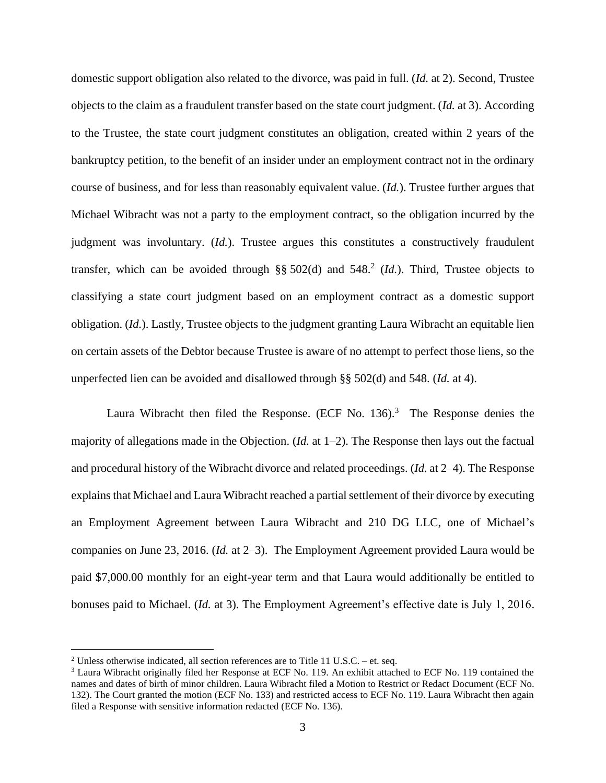domestic support obligation also related to the divorce, was paid in full. (*Id.* at 2). Second, Trustee objects to the claim as a fraudulent transfer based on the state court judgment. (*Id.* at 3). According to the Trustee, the state court judgment constitutes an obligation, created within 2 years of the bankruptcy petition, to the benefit of an insider under an employment contract not in the ordinary course of business, and for less than reasonably equivalent value. (*Id.*). Trustee further argues that Michael Wibracht was not a party to the employment contract, so the obligation incurred by the judgment was involuntary. (*Id.*). Trustee argues this constitutes a constructively fraudulent transfer, which can be avoided through  $\S$ § 502(d) and 548.<sup>2</sup> (*Id.*). Third, Trustee objects to classifying a state court judgment based on an employment contract as a domestic support obligation. (*Id.*). Lastly, Trustee objects to the judgment granting Laura Wibracht an equitable lien on certain assets of the Debtor because Trustee is aware of no attempt to perfect those liens, so the unperfected lien can be avoided and disallowed through §§ 502(d) and 548. (*Id.* at 4).

Laura Wibracht then filed the Response. (ECF No.  $136$ ).<sup>3</sup> The Response denies the majority of allegations made in the Objection. (*Id.* at 1–2). The Response then lays out the factual and procedural history of the Wibracht divorce and related proceedings. (*Id.* at 2–4). The Response explains that Michael and Laura Wibracht reached a partial settlement of their divorce by executing an Employment Agreement between Laura Wibracht and 210 DG LLC, one of Michael's companies on June 23, 2016. (*Id.* at 2–3). The Employment Agreement provided Laura would be paid \$7,000.00 monthly for an eight-year term and that Laura would additionally be entitled to bonuses paid to Michael. (*Id.* at 3). The Employment Agreement's effective date is July 1, 2016.

<sup>&</sup>lt;sup>2</sup> Unless otherwise indicated, all section references are to Title 11 U.S.C. – et. seq.

<sup>&</sup>lt;sup>3</sup> Laura Wibracht originally filed her Response at ECF No. 119. An exhibit attached to ECF No. 119 contained the names and dates of birth of minor children. Laura Wibracht filed a Motion to Restrict or Redact Document (ECF No. 132). The Court granted the motion (ECF No. 133) and restricted access to ECF No. 119. Laura Wibracht then again filed a Response with sensitive information redacted (ECF No. 136).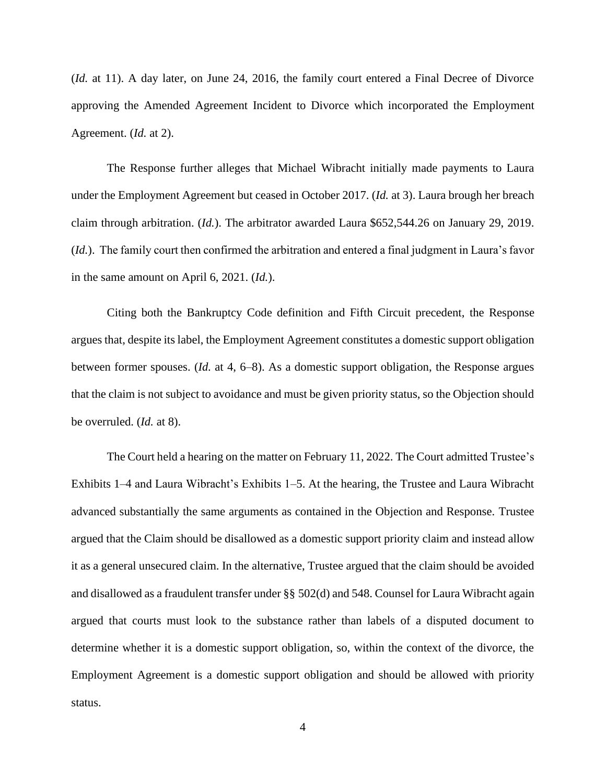(*Id.* at 11). A day later, on June 24, 2016, the family court entered a Final Decree of Divorce approving the Amended Agreement Incident to Divorce which incorporated the Employment Agreement. (*Id.* at 2).

The Response further alleges that Michael Wibracht initially made payments to Laura under the Employment Agreement but ceased in October 2017. (*Id.* at 3). Laura brough her breach claim through arbitration. (*Id.*). The arbitrator awarded Laura \$652,544.26 on January 29, 2019. (*Id.*). The family court then confirmed the arbitration and entered a final judgment in Laura's favor in the same amount on April 6, 2021. (*Id.*).

Citing both the Bankruptcy Code definition and Fifth Circuit precedent, the Response argues that, despite its label, the Employment Agreement constitutes a domestic support obligation between former spouses. (*Id.* at 4, 6–8). As a domestic support obligation, the Response argues that the claim is not subject to avoidance and must be given priority status, so the Objection should be overruled. (*Id.* at 8).

The Court held a hearing on the matter on February 11, 2022. The Court admitted Trustee's Exhibits 1–4 and Laura Wibracht's Exhibits 1–5. At the hearing, the Trustee and Laura Wibracht advanced substantially the same arguments as contained in the Objection and Response. Trustee argued that the Claim should be disallowed as a domestic support priority claim and instead allow it as a general unsecured claim. In the alternative, Trustee argued that the claim should be avoided and disallowed as a fraudulent transfer under §§ 502(d) and 548. Counsel for Laura Wibracht again argued that courts must look to the substance rather than labels of a disputed document to determine whether it is a domestic support obligation, so, within the context of the divorce, the Employment Agreement is a domestic support obligation and should be allowed with priority status.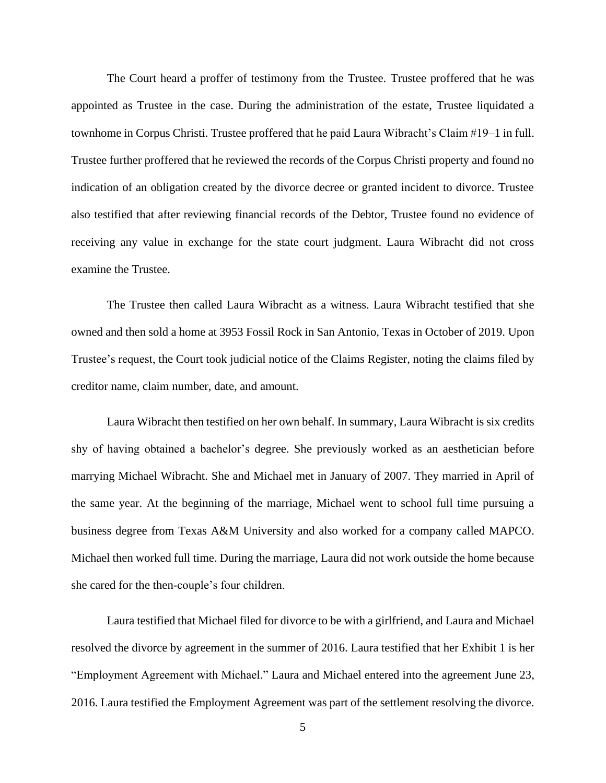The Court heard a proffer of testimony from the Trustee. Trustee proffered that he was appointed as Trustee in the case. During the administration of the estate, Trustee liquidated a townhome in Corpus Christi. Trustee proffered that he paid Laura Wibracht's Claim #19–1 in full. Trustee further proffered that he reviewed the records of the Corpus Christi property and found no indication of an obligation created by the divorce decree or granted incident to divorce. Trustee also testified that after reviewing financial records of the Debtor, Trustee found no evidence of receiving any value in exchange for the state court judgment. Laura Wibracht did not cross examine the Trustee.

The Trustee then called Laura Wibracht as a witness. Laura Wibracht testified that she owned and then sold a home at 3953 Fossil Rock in San Antonio, Texas in October of 2019. Upon Trustee's request, the Court took judicial notice of the Claims Register, noting the claims filed by creditor name, claim number, date, and amount.

Laura Wibracht then testified on her own behalf. In summary, Laura Wibracht is six credits shy of having obtained a bachelor's degree. She previously worked as an aesthetician before marrying Michael Wibracht. She and Michael met in January of 2007. They married in April of the same year. At the beginning of the marriage, Michael went to school full time pursuing a business degree from Texas A&M University and also worked for a company called MAPCO. Michael then worked full time. During the marriage, Laura did not work outside the home because she cared for the then-couple's four children.

Laura testified that Michael filed for divorce to be with a girlfriend, and Laura and Michael resolved the divorce by agreement in the summer of 2016. Laura testified that her Exhibit 1 is her "Employment Agreement with Michael." Laura and Michael entered into the agreement June 23, 2016. Laura testified the Employment Agreement was part of the settlement resolving the divorce.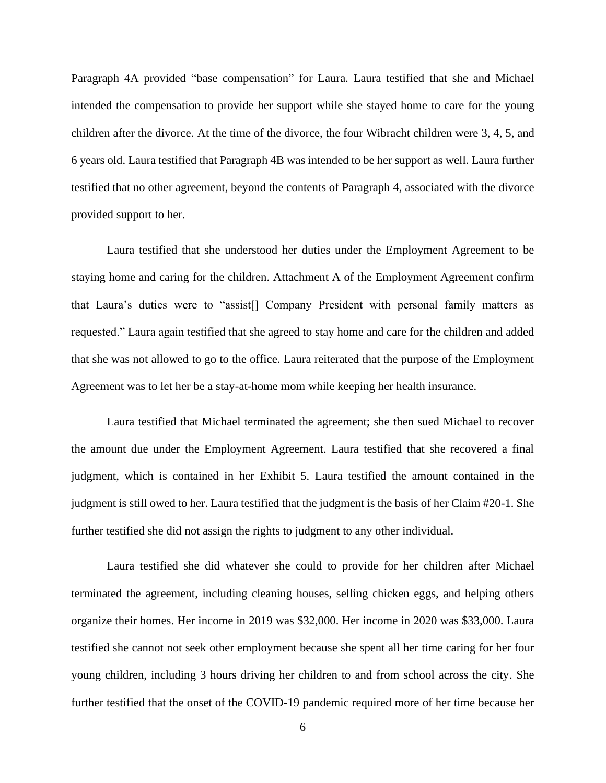Paragraph 4A provided "base compensation" for Laura. Laura testified that she and Michael intended the compensation to provide her support while she stayed home to care for the young children after the divorce. At the time of the divorce, the four Wibracht children were 3, 4, 5, and 6 years old. Laura testified that Paragraph 4B was intended to be her support as well. Laura further testified that no other agreement, beyond the contents of Paragraph 4, associated with the divorce provided support to her.

Laura testified that she understood her duties under the Employment Agreement to be staying home and caring for the children. Attachment A of the Employment Agreement confirm that Laura's duties were to "assist[] Company President with personal family matters as requested." Laura again testified that she agreed to stay home and care for the children and added that she was not allowed to go to the office. Laura reiterated that the purpose of the Employment Agreement was to let her be a stay-at-home mom while keeping her health insurance.

Laura testified that Michael terminated the agreement; she then sued Michael to recover the amount due under the Employment Agreement. Laura testified that she recovered a final judgment, which is contained in her Exhibit 5. Laura testified the amount contained in the judgment is still owed to her. Laura testified that the judgment is the basis of her Claim #20-1. She further testified she did not assign the rights to judgment to any other individual.

Laura testified she did whatever she could to provide for her children after Michael terminated the agreement, including cleaning houses, selling chicken eggs, and helping others organize their homes. Her income in 2019 was \$32,000. Her income in 2020 was \$33,000. Laura testified she cannot not seek other employment because she spent all her time caring for her four young children, including 3 hours driving her children to and from school across the city. She further testified that the onset of the COVID-19 pandemic required more of her time because her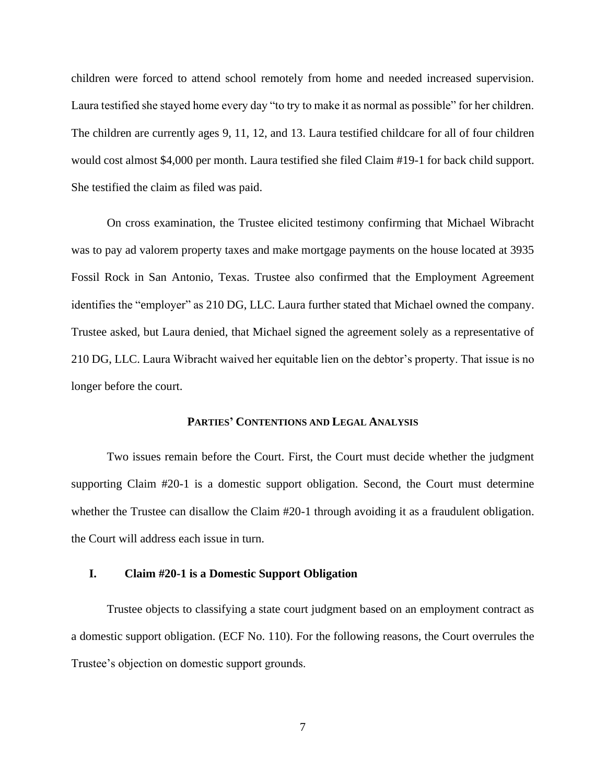children were forced to attend school remotely from home and needed increased supervision. Laura testified she stayed home every day "to try to make it as normal as possible" for her children. The children are currently ages 9, 11, 12, and 13. Laura testified childcare for all of four children would cost almost \$4,000 per month. Laura testified she filed Claim #19-1 for back child support. She testified the claim as filed was paid.

On cross examination, the Trustee elicited testimony confirming that Michael Wibracht was to pay ad valorem property taxes and make mortgage payments on the house located at 3935 Fossil Rock in San Antonio, Texas. Trustee also confirmed that the Employment Agreement identifies the "employer" as 210 DG, LLC. Laura further stated that Michael owned the company. Trustee asked, but Laura denied, that Michael signed the agreement solely as a representative of 210 DG, LLC. Laura Wibracht waived her equitable lien on the debtor's property. That issue is no longer before the court.

### **PARTIES' CONTENTIONS AND LEGAL ANALYSIS**

Two issues remain before the Court. First, the Court must decide whether the judgment supporting Claim #20-1 is a domestic support obligation. Second, the Court must determine whether the Trustee can disallow the Claim #20-1 through avoiding it as a fraudulent obligation. the Court will address each issue in turn.

## **I. Claim #20-1 is a Domestic Support Obligation**

Trustee objects to classifying a state court judgment based on an employment contract as a domestic support obligation. (ECF No. 110). For the following reasons, the Court overrules the Trustee's objection on domestic support grounds.

7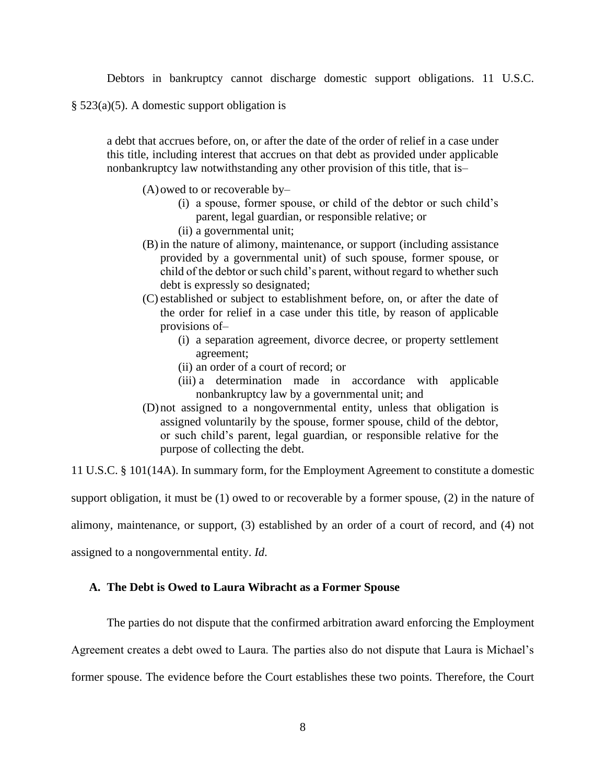Debtors in bankruptcy cannot discharge domestic support obligations. 11 U.S.C.

§ 523(a)(5). A domestic support obligation is

a debt that accrues before, on, or after the date of the order of relief in a case under this title, including interest that accrues on that debt as provided under applicable nonbankruptcy law notwithstanding any other provision of this title, that is–

(A)owed to or recoverable by–

- (i) a spouse, former spouse, or child of the debtor or such child's parent, legal guardian, or responsible relative; or (ii) a governmental unit;
- (B) in the nature of alimony, maintenance, or support (including assistance provided by a governmental unit) of such spouse, former spouse, or child of the debtor or such child's parent, without regard to whether such debt is expressly so designated;
- (C) established or subject to establishment before, on, or after the date of the order for relief in a case under this title, by reason of applicable provisions of–
	- (i) a separation agreement, divorce decree, or property settlement agreement;
	- (ii) an order of a court of record; or
	- (iii) a determination made in accordance with applicable nonbankruptcy law by a governmental unit; and
- (D)not assigned to a nongovernmental entity, unless that obligation is assigned voluntarily by the spouse, former spouse, child of the debtor, or such child's parent, legal guardian, or responsible relative for the purpose of collecting the debt.

11 U.S.C. § 101(14A). In summary form, for the Employment Agreement to constitute a domestic

support obligation, it must be (1) owed to or recoverable by a former spouse, (2) in the nature of

alimony, maintenance, or support, (3) established by an order of a court of record, and (4) not

assigned to a nongovernmental entity. *Id*.

### **A. The Debt is Owed to Laura Wibracht as a Former Spouse**

The parties do not dispute that the confirmed arbitration award enforcing the Employment

Agreement creates a debt owed to Laura. The parties also do not dispute that Laura is Michael's former spouse. The evidence before the Court establishes these two points. Therefore, the Court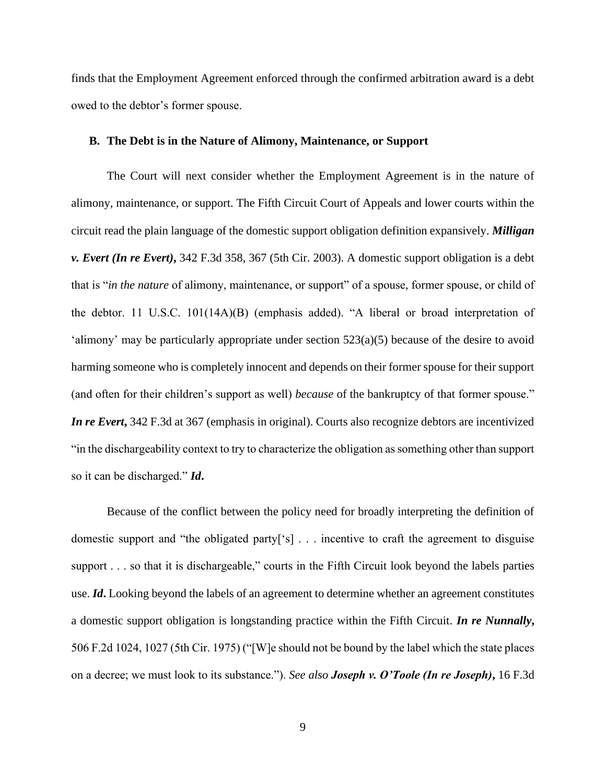finds that the Employment Agreement enforced through the confirmed arbitration award is a debt owed to the debtor's former spouse.

### **B. The Debt is in the Nature of Alimony, Maintenance, or Support**

The Court will next consider whether the Employment Agreement is in the nature of alimony, maintenance, or support. The Fifth Circuit Court of Appeals and lower courts within the circuit read the plain language of the domestic support obligation definition expansively. *Milligan v. Evert (In re Evert)***,** 342 F.3d 358, 367 (5th Cir. 2003). A domestic support obligation is a debt that is "*in the nature* of alimony, maintenance, or support" of a spouse, former spouse, or child of the debtor. 11 U.S.C. 101(14A)(B) (emphasis added). "A liberal or broad interpretation of 'alimony' may be particularly appropriate under section  $523(a)(5)$  because of the desire to avoid harming someone who is completely innocent and depends on their former spouse for their support (and often for their children's support as well) *because* of the bankruptcy of that former spouse." *In re Evert***,** 342 F.3d at 367 (emphasis in original). Courts also recognize debtors are incentivized "in the dischargeability context to try to characterize the obligation as something other than support so it can be discharged." *Id***.**

Because of the conflict between the policy need for broadly interpreting the definition of domestic support and "the obligated party['s] . . . incentive to craft the agreement to disguise support . . . so that it is dischargeable," courts in the Fifth Circuit look beyond the labels parties use. *Id***.** Looking beyond the labels of an agreement to determine whether an agreement constitutes a domestic support obligation is longstanding practice within the Fifth Circuit. *In re Nunnally***,**  506 F.2d 1024, 1027 (5th Cir. 1975) ("[W]e should not be bound by the label which the state places on a decree; we must look to its substance."). *See also Joseph v. O'Toole (In re Joseph)***,** 16 F.3d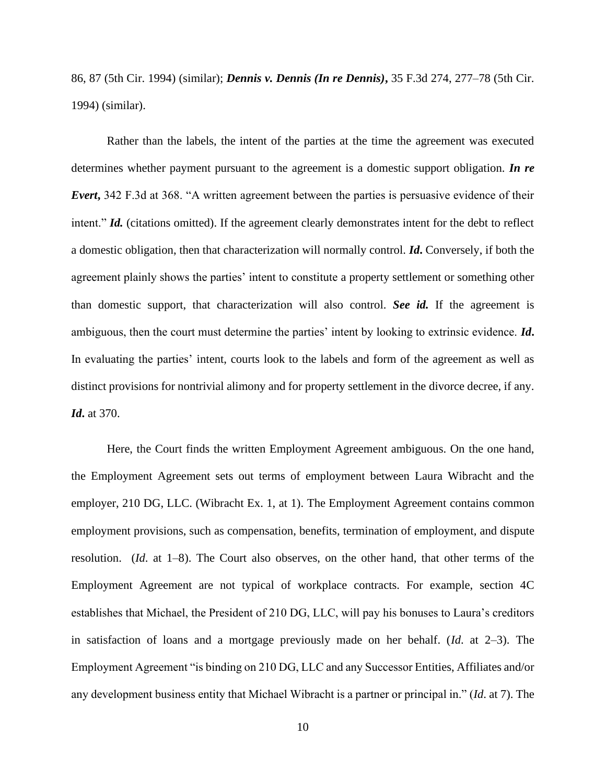86, 87 (5th Cir. 1994) (similar); *Dennis v. Dennis (In re Dennis)***,** 35 F.3d 274, 277–78 (5th Cir. 1994) (similar).

Rather than the labels, the intent of the parties at the time the agreement was executed determines whether payment pursuant to the agreement is a domestic support obligation. *In re Evert***,** 342 F.3d at 368. "A written agreement between the parties is persuasive evidence of their intent." *Id.* (citations omitted). If the agreement clearly demonstrates intent for the debt to reflect a domestic obligation, then that characterization will normally control. *Id***.** Conversely, if both the agreement plainly shows the parties' intent to constitute a property settlement or something other than domestic support, that characterization will also control. *See id.* If the agreement is ambiguous, then the court must determine the parties' intent by looking to extrinsic evidence. *Id***.**  In evaluating the parties' intent, courts look to the labels and form of the agreement as well as distinct provisions for nontrivial alimony and for property settlement in the divorce decree, if any. *Id***.** at 370.

Here, the Court finds the written Employment Agreement ambiguous. On the one hand, the Employment Agreement sets out terms of employment between Laura Wibracht and the employer, 210 DG, LLC. (Wibracht Ex. 1, at 1). The Employment Agreement contains common employment provisions, such as compensation, benefits, termination of employment, and dispute resolution. (*Id*. at 1–8). The Court also observes, on the other hand, that other terms of the Employment Agreement are not typical of workplace contracts. For example, section 4C establishes that Michael, the President of 210 DG, LLC, will pay his bonuses to Laura's creditors in satisfaction of loans and a mortgage previously made on her behalf. (*Id*. at 2–3). The Employment Agreement "is binding on 210 DG, LLC and any Successor Entities, Affiliates and/or any development business entity that Michael Wibracht is a partner or principal in." (*Id*. at 7). The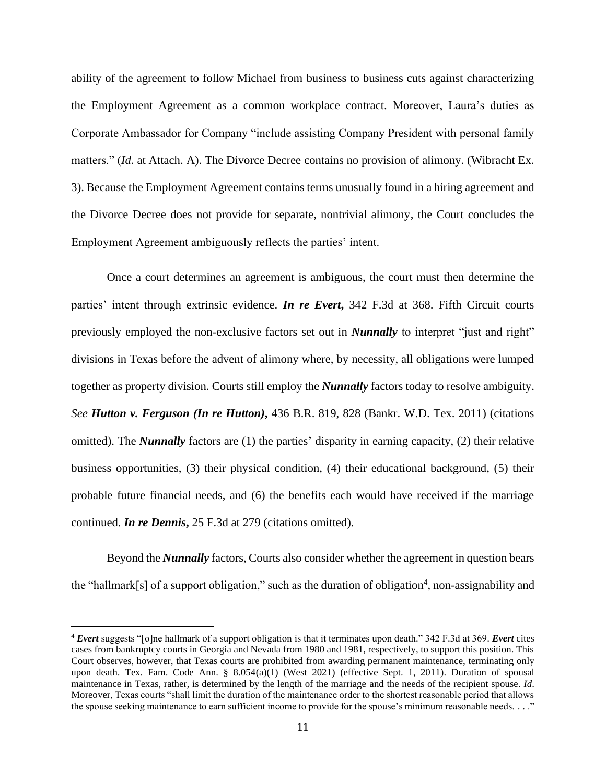ability of the agreement to follow Michael from business to business cuts against characterizing the Employment Agreement as a common workplace contract. Moreover, Laura's duties as Corporate Ambassador for Company "include assisting Company President with personal family matters." (*Id*. at Attach. A). The Divorce Decree contains no provision of alimony. (Wibracht Ex. 3). Because the Employment Agreement contains terms unusually found in a hiring agreement and the Divorce Decree does not provide for separate, nontrivial alimony, the Court concludes the Employment Agreement ambiguously reflects the parties' intent.

Once a court determines an agreement is ambiguous, the court must then determine the parties' intent through extrinsic evidence. *In re Evert***,** 342 F.3d at 368. Fifth Circuit courts previously employed the non-exclusive factors set out in *Nunnally* to interpret "just and right" divisions in Texas before the advent of alimony where, by necessity, all obligations were lumped together as property division. Courts still employ the *Nunnally* factors today to resolve ambiguity. *See Hutton v. Ferguson (In re Hutton)***,** 436 B.R. 819, 828 (Bankr. W.D. Tex. 2011) (citations omitted). The *Nunnally* factors are (1) the parties' disparity in earning capacity, (2) their relative business opportunities, (3) their physical condition, (4) their educational background, (5) their probable future financial needs, and (6) the benefits each would have received if the marriage continued. *In re Dennis***,** 25 F.3d at 279 (citations omitted).

Beyond the *Nunnally* factors, Courts also consider whether the agreement in question bears the "hallmark[s] of a support obligation," such as the duration of obligation<sup>4</sup>, non-assignability and

<sup>4</sup> *Evert* suggests "[o]ne hallmark of a support obligation is that it terminates upon death." 342 F.3d at 369. *Evert* cites cases from bankruptcy courts in Georgia and Nevada from 1980 and 1981, respectively, to support this position. This Court observes, however, that Texas courts are prohibited from awarding permanent maintenance, terminating only upon death. Tex. Fam. Code Ann. § 8.054(a)(1) (West 2021) (effective Sept. 1, 2011). Duration of spousal maintenance in Texas, rather, is determined by the length of the marriage and the needs of the recipient spouse. *Id*. Moreover, Texas courts "shall limit the duration of the maintenance order to the shortest reasonable period that allows the spouse seeking maintenance to earn sufficient income to provide for the spouse's minimum reasonable needs. . . ."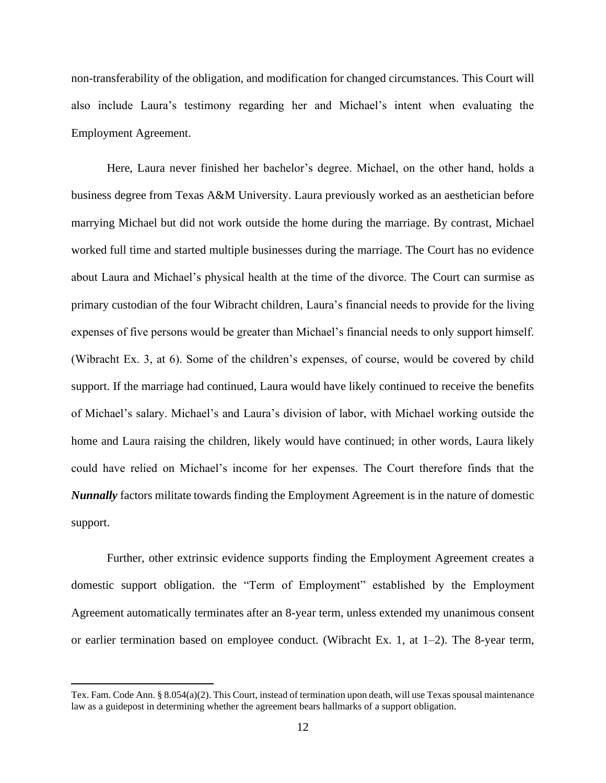non-transferability of the obligation, and modification for changed circumstances. This Court will also include Laura's testimony regarding her and Michael's intent when evaluating the Employment Agreement.

Here, Laura never finished her bachelor's degree. Michael, on the other hand, holds a business degree from Texas A&M University. Laura previously worked as an aesthetician before marrying Michael but did not work outside the home during the marriage. By contrast, Michael worked full time and started multiple businesses during the marriage. The Court has no evidence about Laura and Michael's physical health at the time of the divorce. The Court can surmise as primary custodian of the four Wibracht children, Laura's financial needs to provide for the living expenses of five persons would be greater than Michael's financial needs to only support himself. (Wibracht Ex. 3, at 6). Some of the children's expenses, of course, would be covered by child support. If the marriage had continued, Laura would have likely continued to receive the benefits of Michael's salary. Michael's and Laura's division of labor, with Michael working outside the home and Laura raising the children, likely would have continued; in other words, Laura likely could have relied on Michael's income for her expenses. The Court therefore finds that the *Nunnally* factors militate towards finding the Employment Agreement is in the nature of domestic support.

Further, other extrinsic evidence supports finding the Employment Agreement creates a domestic support obligation. the "Term of Employment" established by the Employment Agreement automatically terminates after an 8-year term, unless extended my unanimous consent or earlier termination based on employee conduct. (Wibracht Ex. 1, at 1–2). The 8-year term,

Tex. Fam. Code Ann. § 8.054(a)(2). This Court, instead of termination upon death, will use Texas spousal maintenance law as a guidepost in determining whether the agreement bears hallmarks of a support obligation.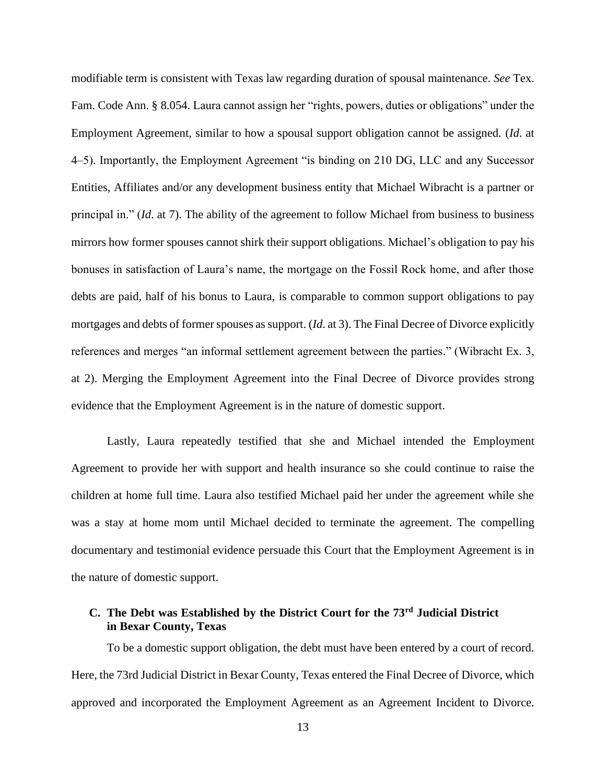modifiable term is consistent with Texas law regarding duration of spousal maintenance. *See* Tex. Fam. Code Ann. § 8.054. Laura cannot assign her "rights, powers, duties or obligations" under the Employment Agreement, similar to how a spousal support obligation cannot be assigned. (*Id*. at 4–5). Importantly, the Employment Agreement "is binding on 210 DG, LLC and any Successor Entities, Affiliates and/or any development business entity that Michael Wibracht is a partner or principal in." (*Id*. at 7). The ability of the agreement to follow Michael from business to business mirrors how former spouses cannot shirk their support obligations. Michael's obligation to pay his bonuses in satisfaction of Laura's name, the mortgage on the Fossil Rock home, and after those debts are paid, half of his bonus to Laura, is comparable to common support obligations to pay mortgages and debts of former spouses as support. (*Id*. at 3). The Final Decree of Divorce explicitly references and merges "an informal settlement agreement between the parties." (Wibracht Ex. 3, at 2). Merging the Employment Agreement into the Final Decree of Divorce provides strong evidence that the Employment Agreement is in the nature of domestic support.

Lastly, Laura repeatedly testified that she and Michael intended the Employment Agreement to provide her with support and health insurance so she could continue to raise the children at home full time. Laura also testified Michael paid her under the agreement while she was a stay at home mom until Michael decided to terminate the agreement. The compelling documentary and testimonial evidence persuade this Court that the Employment Agreement is in the nature of domestic support.

## **C. The Debt was Established by the District Court for the 73rd Judicial District in Bexar County, Texas**

To be a domestic support obligation, the debt must have been entered by a court of record. Here, the 73rd Judicial District in Bexar County, Texas entered the Final Decree of Divorce, which approved and incorporated the Employment Agreement as an Agreement Incident to Divorce.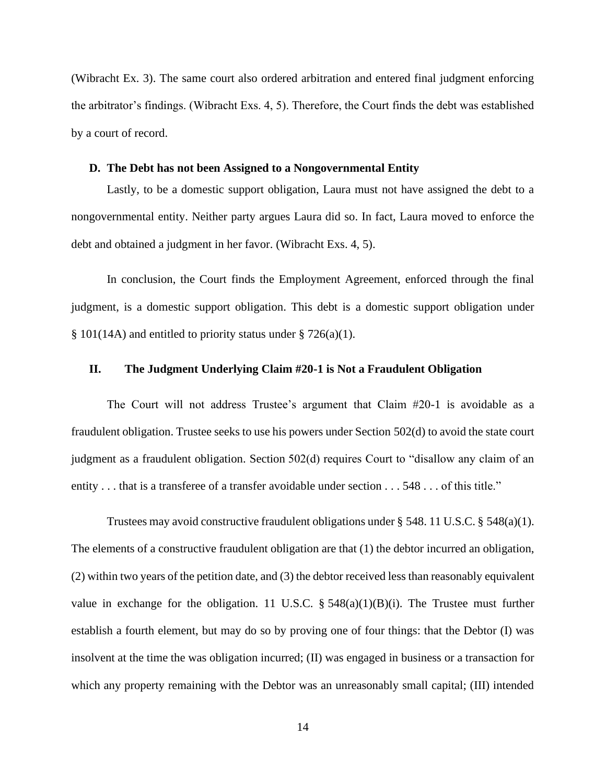(Wibracht Ex. 3). The same court also ordered arbitration and entered final judgment enforcing the arbitrator's findings. (Wibracht Exs. 4, 5). Therefore, the Court finds the debt was established by a court of record.

### **D. The Debt has not been Assigned to a Nongovernmental Entity**

Lastly, to be a domestic support obligation, Laura must not have assigned the debt to a nongovernmental entity. Neither party argues Laura did so. In fact, Laura moved to enforce the debt and obtained a judgment in her favor. (Wibracht Exs. 4, 5).

In conclusion, the Court finds the Employment Agreement, enforced through the final judgment, is a domestic support obligation. This debt is a domestic support obligation under  $§ 101(14A)$  and entitled to priority status under  $§ 726(a)(1)$ .

### **II. The Judgment Underlying Claim #20-1 is Not a Fraudulent Obligation**

The Court will not address Trustee's argument that Claim #20-1 is avoidable as a fraudulent obligation. Trustee seeks to use his powers under Section 502(d) to avoid the state court judgment as a fraudulent obligation. Section 502(d) requires Court to "disallow any claim of an entity . . . that is a transferee of a transfer avoidable under section . . . 548 . . . of this title."

Trustees may avoid constructive fraudulent obligations under § 548. 11 U.S.C. § 548(a)(1). The elements of a constructive fraudulent obligation are that (1) the debtor incurred an obligation, (2) within two years of the petition date, and (3) the debtor received less than reasonably equivalent value in exchange for the obligation. 11 U.S.C.  $\S$  548(a)(1)(B)(i). The Trustee must further establish a fourth element, but may do so by proving one of four things: that the Debtor (I) was insolvent at the time the was obligation incurred; (II) was engaged in business or a transaction for which any property remaining with the Debtor was an unreasonably small capital; (III) intended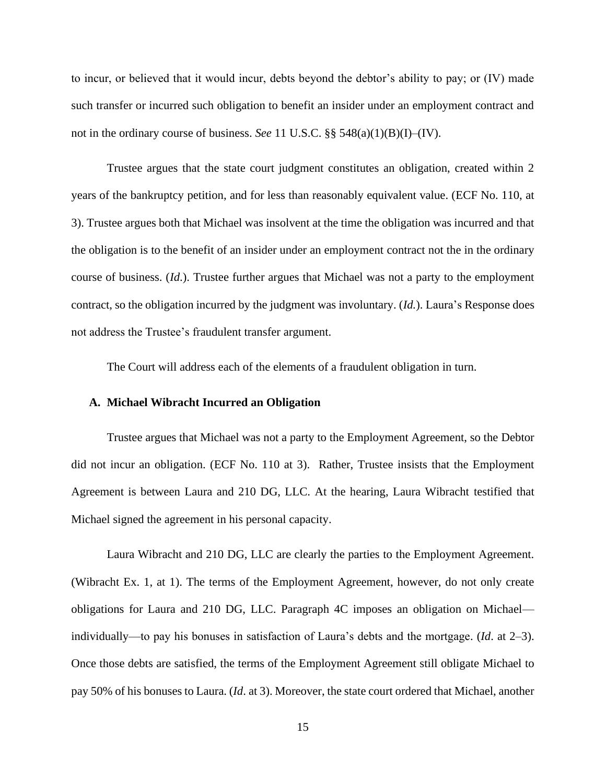to incur, or believed that it would incur, debts beyond the debtor's ability to pay; or (IV) made such transfer or incurred such obligation to benefit an insider under an employment contract and not in the ordinary course of business. *See* 11 U.S.C. §§ 548(a)(1)(B)(I)–(IV).

Trustee argues that the state court judgment constitutes an obligation, created within 2 years of the bankruptcy petition, and for less than reasonably equivalent value. (ECF No. 110, at 3). Trustee argues both that Michael was insolvent at the time the obligation was incurred and that the obligation is to the benefit of an insider under an employment contract not the in the ordinary course of business. (*Id*.). Trustee further argues that Michael was not a party to the employment contract, so the obligation incurred by the judgment was involuntary. (*Id.*). Laura's Response does not address the Trustee's fraudulent transfer argument.

The Court will address each of the elements of a fraudulent obligation in turn.

### **A. Michael Wibracht Incurred an Obligation**

Trustee argues that Michael was not a party to the Employment Agreement, so the Debtor did not incur an obligation. (ECF No. 110 at 3). Rather, Trustee insists that the Employment Agreement is between Laura and 210 DG, LLC. At the hearing, Laura Wibracht testified that Michael signed the agreement in his personal capacity.

Laura Wibracht and 210 DG, LLC are clearly the parties to the Employment Agreement. (Wibracht Ex. 1, at 1). The terms of the Employment Agreement, however, do not only create obligations for Laura and 210 DG, LLC. Paragraph 4C imposes an obligation on Michael individually—to pay his bonuses in satisfaction of Laura's debts and the mortgage. (*Id*. at 2–3). Once those debts are satisfied, the terms of the Employment Agreement still obligate Michael to pay 50% of his bonuses to Laura. (*Id*. at 3). Moreover, the state court ordered that Michael, another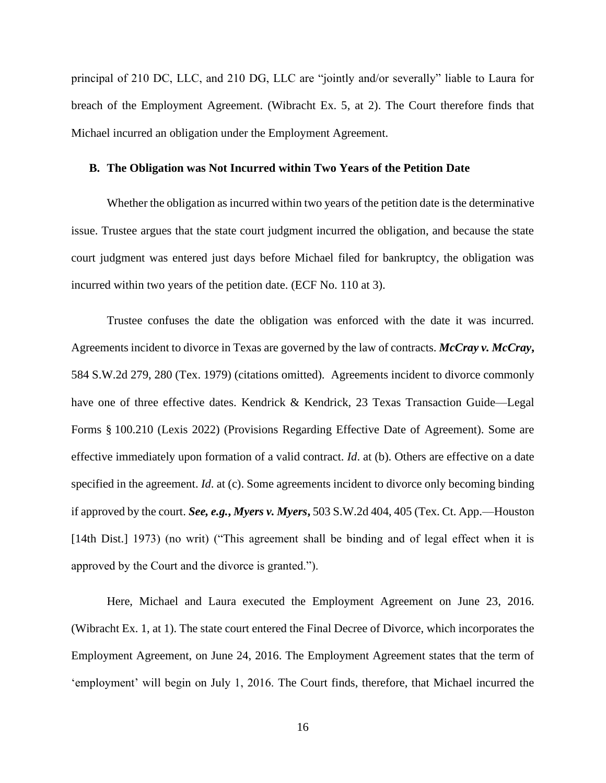principal of 210 DC, LLC, and 210 DG, LLC are "jointly and/or severally" liable to Laura for breach of the Employment Agreement. (Wibracht Ex. 5, at 2). The Court therefore finds that Michael incurred an obligation under the Employment Agreement.

### **B. The Obligation was Not Incurred within Two Years of the Petition Date**

Whether the obligation as incurred within two years of the petition date is the determinative issue. Trustee argues that the state court judgment incurred the obligation, and because the state court judgment was entered just days before Michael filed for bankruptcy, the obligation was incurred within two years of the petition date. (ECF No. 110 at 3).

Trustee confuses the date the obligation was enforced with the date it was incurred. Agreements incident to divorce in Texas are governed by the law of contracts. *McCray v. McCray***,**  584 S.W.2d 279, 280 (Tex. 1979) (citations omitted). Agreements incident to divorce commonly have one of three effective dates. Kendrick & Kendrick, 23 Texas Transaction Guide—Legal Forms § 100.210 (Lexis 2022) (Provisions Regarding Effective Date of Agreement). Some are effective immediately upon formation of a valid contract. *Id*. at (b). Others are effective on a date specified in the agreement. *Id*. at (c). Some agreements incident to divorce only becoming binding if approved by the court. *See, e.g.***,** *Myers v. Myers***,** 503 S.W.2d 404, 405 (Tex. Ct. App.—Houston [14th Dist.] 1973) (no writ) ("This agreement shall be binding and of legal effect when it is approved by the Court and the divorce is granted.").

Here, Michael and Laura executed the Employment Agreement on June 23, 2016. (Wibracht Ex. 1, at 1). The state court entered the Final Decree of Divorce, which incorporates the Employment Agreement, on June 24, 2016. The Employment Agreement states that the term of 'employment' will begin on July 1, 2016. The Court finds, therefore, that Michael incurred the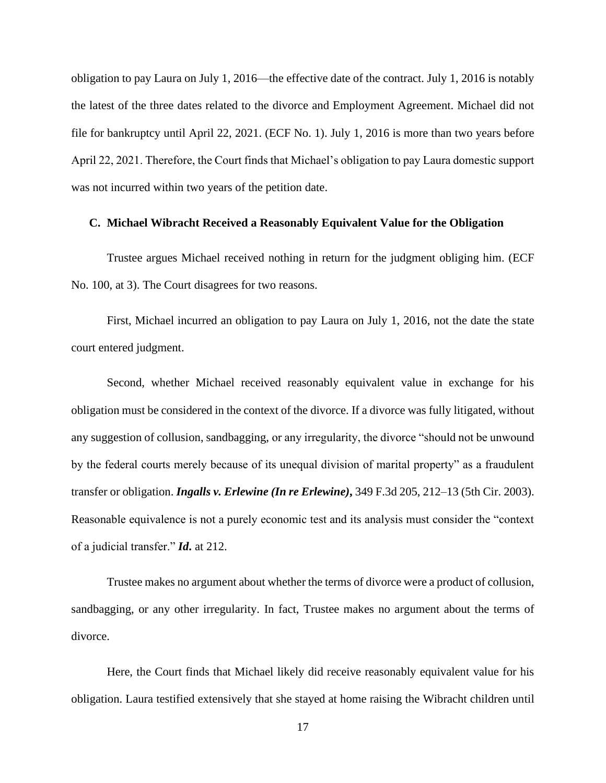obligation to pay Laura on July 1, 2016—the effective date of the contract. July 1, 2016 is notably the latest of the three dates related to the divorce and Employment Agreement. Michael did not file for bankruptcy until April 22, 2021. (ECF No. 1). July 1, 2016 is more than two years before April 22, 2021. Therefore, the Court finds that Michael's obligation to pay Laura domestic support was not incurred within two years of the petition date.

### **C. Michael Wibracht Received a Reasonably Equivalent Value for the Obligation**

Trustee argues Michael received nothing in return for the judgment obliging him. (ECF No. 100, at 3). The Court disagrees for two reasons.

First, Michael incurred an obligation to pay Laura on July 1, 2016, not the date the state court entered judgment.

Second, whether Michael received reasonably equivalent value in exchange for his obligation must be considered in the context of the divorce. If a divorce was fully litigated, without any suggestion of collusion, sandbagging, or any irregularity, the divorce "should not be unwound by the federal courts merely because of its unequal division of marital property" as a fraudulent transfer or obligation. *Ingalls v. Erlewine (In re Erlewine)***,** 349 F.3d 205, 212–13 (5th Cir. 2003). Reasonable equivalence is not a purely economic test and its analysis must consider the "context of a judicial transfer." *Id***.** at 212.

Trustee makes no argument about whether the terms of divorce were a product of collusion, sandbagging, or any other irregularity. In fact, Trustee makes no argument about the terms of divorce.

Here, the Court finds that Michael likely did receive reasonably equivalent value for his obligation. Laura testified extensively that she stayed at home raising the Wibracht children until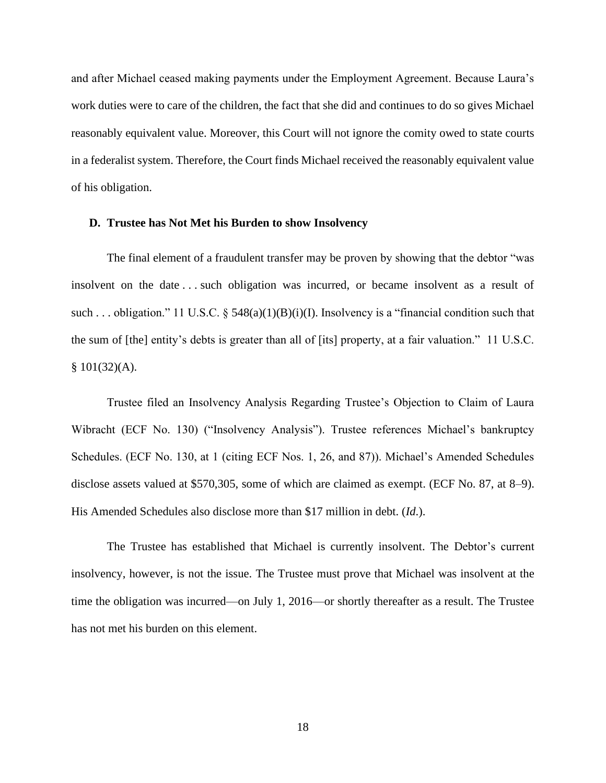and after Michael ceased making payments under the Employment Agreement. Because Laura's work duties were to care of the children, the fact that she did and continues to do so gives Michael reasonably equivalent value. Moreover, this Court will not ignore the comity owed to state courts in a federalist system. Therefore, the Court finds Michael received the reasonably equivalent value of his obligation.

### **D. Trustee has Not Met his Burden to show Insolvency**

The final element of a fraudulent transfer may be proven by showing that the debtor "was insolvent on the date . . . such obligation was incurred, or became insolvent as a result of such ... obligation." 11 U.S.C. § 548(a)(1)(B)(i)(I). Insolvency is a "financial condition such that the sum of [the] entity's debts is greater than all of [its] property, at a fair valuation." 11 U.S.C.  $$101(32)(A).$ 

Trustee filed an Insolvency Analysis Regarding Trustee's Objection to Claim of Laura Wibracht (ECF No. 130) ("Insolvency Analysis"). Trustee references Michael's bankruptcy Schedules. (ECF No. 130, at 1 (citing ECF Nos. 1, 26, and 87)). Michael's Amended Schedules disclose assets valued at \$570,305, some of which are claimed as exempt. (ECF No. 87, at 8–9). His Amended Schedules also disclose more than \$17 million in debt. (*Id*.).

The Trustee has established that Michael is currently insolvent. The Debtor's current insolvency, however, is not the issue. The Trustee must prove that Michael was insolvent at the time the obligation was incurred—on July 1, 2016—or shortly thereafter as a result. The Trustee has not met his burden on this element.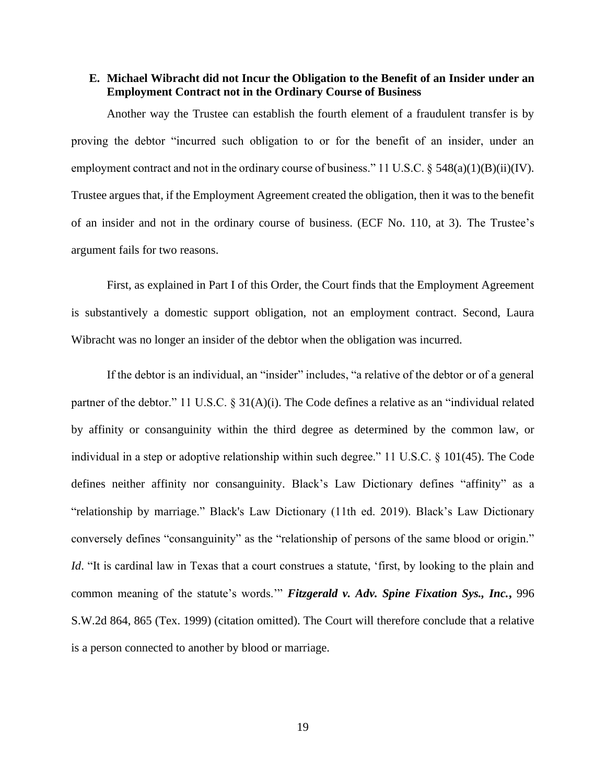### **E. Michael Wibracht did not Incur the Obligation to the Benefit of an Insider under an Employment Contract not in the Ordinary Course of Business**

Another way the Trustee can establish the fourth element of a fraudulent transfer is by proving the debtor "incurred such obligation to or for the benefit of an insider, under an employment contract and not in the ordinary course of business." 11 U.S.C.  $\S$  548(a)(1)(B)(ii)(IV). Trustee argues that, if the Employment Agreement created the obligation, then it was to the benefit of an insider and not in the ordinary course of business. (ECF No. 110, at 3). The Trustee's argument fails for two reasons.

First, as explained in Part I of this Order, the Court finds that the Employment Agreement is substantively a domestic support obligation, not an employment contract. Second, Laura Wibracht was no longer an insider of the debtor when the obligation was incurred.

If the debtor is an individual, an "insider" includes, "a relative of the debtor or of a general partner of the debtor." 11 U.S.C. § 31(A)(i). The Code defines a relative as an "individual related by affinity or consanguinity within the third degree as determined by the common law, or individual in a step or adoptive relationship within such degree." 11 U.S.C. § 101(45). The Code defines neither affinity nor consanguinity. Black's Law Dictionary defines "affinity" as a "relationship by marriage." Black's Law Dictionary (11th ed. 2019). Black's Law Dictionary conversely defines "consanguinity" as the "relationship of persons of the same blood or origin." *Id.* "It is cardinal law in Texas that a court construes a statute, 'first, by looking to the plain and common meaning of the statute's words.'" *Fitzgerald v. Adv. Spine Fixation Sys., Inc.***,** 996 S.W.2d 864, 865 (Tex. 1999) (citation omitted). The Court will therefore conclude that a relative is a person connected to another by blood or marriage.